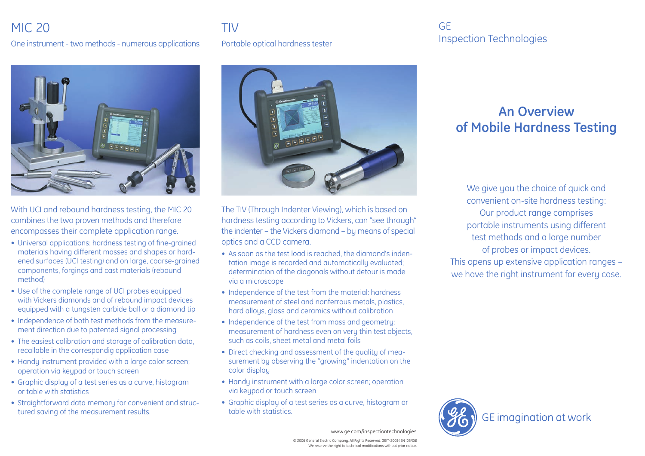## MIC 20 TIV

One instrument - two methods - numerous applications Portable optical hardness tester



With UCI and rebound hardness testing, the MIC 20 combines the two proven methods and therefore encompasses their complete application range.

- Universal applications: hardness testing of fine-grained materials having different masses and shapes or hardened surfaces (UCI testing) and on large, coarse-grained components, forgings and cast materials (rebound method)
- Use of the complete range of UCI probes equipped with Vickers diamonds and of rebound impact devices equipped with a tungsten carbide ball or a diamond tip
- Independence of both test methods from the measurement direction due to patented signal processing
- The easiest calibration and storage of calibration data, recallable in the correspondig application case
- Handy instrument provided with a large color screen; operation via keypad or touch screen
- Graphic display of a test series as a curve, histogram or table with statistics
- Straightforward data memory for convenient and structured saving of the measurement results.



The TIV (Through Indenter Viewing), which is based on hardness testing according to Vickers, can "see through" the indenter – the Vickers diamond – by means of special optics and a CCD camera.

- As soon as the test load is reached, the diamond's indentation image is recorded and automatically evaluated; determination of the diagonals without detour is made via a microscope
- Independence of the test from the material: hardness measurement of steel and nonferrous metals, plastics, hard alloys, glass and ceramics without calibration
- Independence of the test from mass and geometry: measurement of hardness even on very thin test objects, such as coils, sheet metal and metal foils
- Direct checking and assessment of the quality of measurement by observing the "growing" indentation on the color display
- Handu instrument with a large color screen; operation via keupad or touch screen
- Graphic display of a test series as a curve, histogram or table with statistics.

### GE Inspection Technologies

# **An Overview of Mobile Hardness Testing**

We give you the choice of quick and convenient on-site hardness testing: Our product range comprises portable instruments using different test methods and a large number of probes or impact devices. This opens up extensive application ranges – we have the right instrument for every case.



www.ge.com/inspectiontechnologies